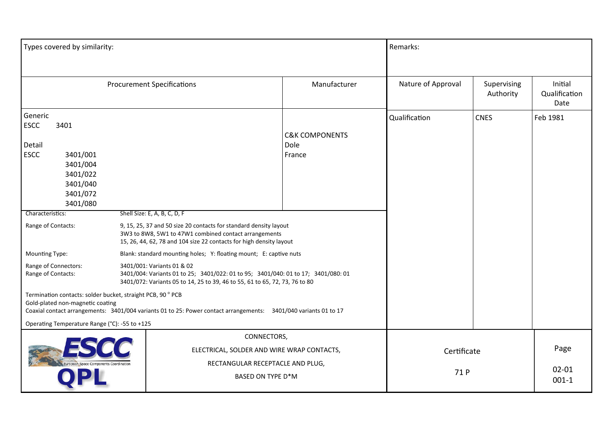| Types covered by similarity:                                                                                                                                                                                                                                                                                                                       |  | Remarks:                                                                                                                                                                                                                                                                                                                                                                                                                                                                                                                                                                                                                      |                                             |                          |                                  |          |
|----------------------------------------------------------------------------------------------------------------------------------------------------------------------------------------------------------------------------------------------------------------------------------------------------------------------------------------------------|--|-------------------------------------------------------------------------------------------------------------------------------------------------------------------------------------------------------------------------------------------------------------------------------------------------------------------------------------------------------------------------------------------------------------------------------------------------------------------------------------------------------------------------------------------------------------------------------------------------------------------------------|---------------------------------------------|--------------------------|----------------------------------|----------|
| <b>Procurement Specifications</b>                                                                                                                                                                                                                                                                                                                  |  | Manufacturer                                                                                                                                                                                                                                                                                                                                                                                                                                                                                                                                                                                                                  | Nature of Approval                          | Supervising<br>Authority | Initial<br>Qualification<br>Date |          |
| Generic<br><b>ESCC</b><br>3401<br>Detail<br><b>ESCC</b><br>3401/001<br>3401/004<br>3401/022<br>3401/040<br>3401/072<br>3401/080<br>Characteristics:<br>Range of Contacts:<br><b>Mounting Type:</b><br>Range of Connectors:<br>Range of Contacts:<br>Termination contacts: solder bucket, straight PCB, 90° PCB<br>Gold-plated non-magnetic coating |  | Shell Size: E, A, B, C, D, F<br>9, 15, 25, 37 and 50 size 20 contacts for standard density layout<br>3W3 to 8W8, 5W1 to 47W1 combined contact arrangements<br>15, 26, 44, 62, 78 and 104 size 22 contacts for high density layout<br>Blank: standard mounting holes; Y: floating mount; E: captive nuts<br>3401/001: Variants 01 & 02<br>3401/004: Variants 01 to 25; 3401/022: 01 to 95; 3401/040: 01 to 17; 3401/080: 01<br>3401/072: Variants 05 to 14, 25 to 39, 46 to 55, 61 to 65, 72, 73, 76 to 80<br>Coaxial contact arrangements: 3401/004 variants 01 to 25: Power contact arrangements: 3401/040 variants 01 to 17 | <b>C&amp;K COMPONENTS</b><br>Dole<br>France | Qualification            | <b>CNES</b>                      | Feb 1981 |
| Operating Temperature Range (°C): -55 to +125<br>CONNECTORS,<br>ELECTRICAL, SOLDER AND WIRE WRAP CONTACTS,<br>RECTANGULAR RECEPTACLE AND PLUG,<br>BASED ON TYPE D*M                                                                                                                                                                                |  |                                                                                                                                                                                                                                                                                                                                                                                                                                                                                                                                                                                                                               | Certificate<br>71 P                         |                          | Page<br>$02 - 01$<br>$001 - 1$   |          |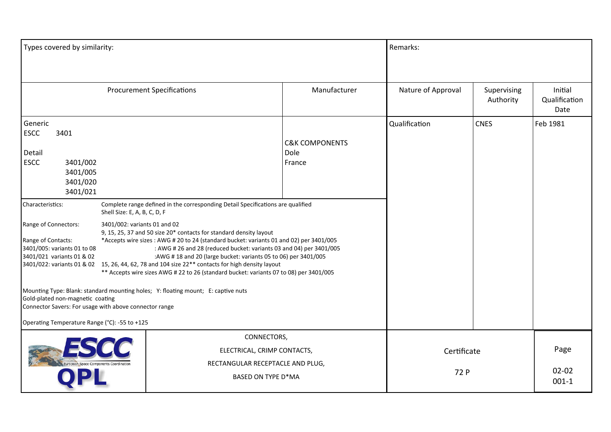| Types covered by similarity:                                                                                                                                                                                                                                                                                                                                                                                                                                                                                                                                                                                                                                                                                                                                                                                                                                                                                                                                                                                                                                                                                                          |  |                                                                                                             |               | Remarks:            |                          |                                  |
|---------------------------------------------------------------------------------------------------------------------------------------------------------------------------------------------------------------------------------------------------------------------------------------------------------------------------------------------------------------------------------------------------------------------------------------------------------------------------------------------------------------------------------------------------------------------------------------------------------------------------------------------------------------------------------------------------------------------------------------------------------------------------------------------------------------------------------------------------------------------------------------------------------------------------------------------------------------------------------------------------------------------------------------------------------------------------------------------------------------------------------------|--|-------------------------------------------------------------------------------------------------------------|---------------|---------------------|--------------------------|----------------------------------|
|                                                                                                                                                                                                                                                                                                                                                                                                                                                                                                                                                                                                                                                                                                                                                                                                                                                                                                                                                                                                                                                                                                                                       |  | <b>Procurement Specifications</b>                                                                           | Manufacturer  | Nature of Approval  | Supervising<br>Authority | Initial<br>Qualification<br>Date |
| Generic<br><b>ESCC</b><br>3401<br>Detail<br><b>ESCC</b><br>3401/002<br>3401/005<br>3401/020<br>3401/021<br>Complete range defined in the corresponding Detail Specifications are qualified<br>Characteristics:<br>Shell Size: E, A, B, C, D, F<br>Range of Connectors:<br>3401/002: variants 01 and 02<br>9, 15, 25, 37 and 50 size 20* contacts for standard density layout<br>Range of Contacts:<br>*Accepts wire sizes: AWG # 20 to 24 (standard bucket: variants 01 and 02) per 3401/005<br>3401/005: variants 01 to 08<br>: AWG # 26 and 28 (reduced bucket: variants 03 and 04) per 3401/005<br>3401/021 variants 01 & 02<br>: AWG # 18 and 20 (large bucket: variants 05 to 06) per 3401/005<br>3401/022: variants 01 & 02 15, 26, 44, 62, 78 and 104 size 22** contacts for high density layout<br>** Accepts wire sizes AWG # 22 to 26 (standard bucket: variants 07 to 08) per 3401/005<br>Mounting Type: Blank: standard mounting holes; Y: floating mount; E: captive nuts<br>Gold-plated non-magnetic coating<br>Connector Savers: For usage with above connector range<br>Operating Temperature Range (°C): -55 to +125 |  | <b>C&amp;K COMPONENTS</b><br>Dole<br>France                                                                 | Qualification | <b>CNES</b>         | Feb 1981                 |                                  |
|                                                                                                                                                                                                                                                                                                                                                                                                                                                                                                                                                                                                                                                                                                                                                                                                                                                                                                                                                                                                                                                                                                                                       |  | CONNECTORS,<br>ELECTRICAL, CRIMP CONTACTS,<br>RECTANGULAR RECEPTACLE AND PLUG,<br><b>BASED ON TYPE D*MA</b> |               | Certificate<br>72 P |                          | Page<br>$02 - 02$<br>$001 - 1$   |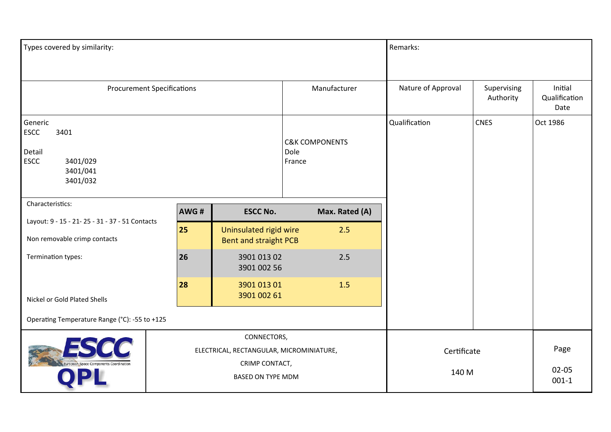| Types covered by similarity:                                                         |                                                                                                       |                                                        |                                             | Remarks:             |                          |                                  |
|--------------------------------------------------------------------------------------|-------------------------------------------------------------------------------------------------------|--------------------------------------------------------|---------------------------------------------|----------------------|--------------------------|----------------------------------|
| <b>Procurement Specifications</b>                                                    |                                                                                                       |                                                        | Manufacturer                                | Nature of Approval   | Supervising<br>Authority | Initial<br>Qualification<br>Date |
| Generic<br>ESCC<br>3401<br>Detail<br><b>ESCC</b><br>3401/029<br>3401/041<br>3401/032 |                                                                                                       |                                                        | <b>C&amp;K COMPONENTS</b><br>Dole<br>France | Qualification        | <b>CNES</b>              | Oct 1986                         |
| Characteristics:                                                                     | AWG#                                                                                                  | <b>ESCC No.</b>                                        | Max. Rated (A)                              |                      |                          |                                  |
| Layout: 9 - 15 - 21 - 25 - 31 - 37 - 51 Contacts<br>Non removable crimp contacts     | 25                                                                                                    | Uninsulated rigid wire<br><b>Bent and straight PCB</b> | 2.5                                         |                      |                          |                                  |
| Termination types:                                                                   | 26                                                                                                    | 3901 013 02<br>3901 002 56                             | 2.5                                         |                      |                          |                                  |
| Nickel or Gold Plated Shells                                                         | 28                                                                                                    | 3901 013 01<br>3901 002 61                             | 1.5                                         |                      |                          |                                  |
| Operating Temperature Range (°C): -55 to +125                                        |                                                                                                       |                                                        |                                             |                      |                          |                                  |
|                                                                                      | CONNECTORS,<br>ELECTRICAL, RECTANGULAR, MICROMINIATURE,<br>CRIMP CONTACT,<br><b>BASED ON TYPE MDM</b> |                                                        |                                             | Certificate<br>140 M |                          | Page<br>$02 - 05$<br>$001 - 1$   |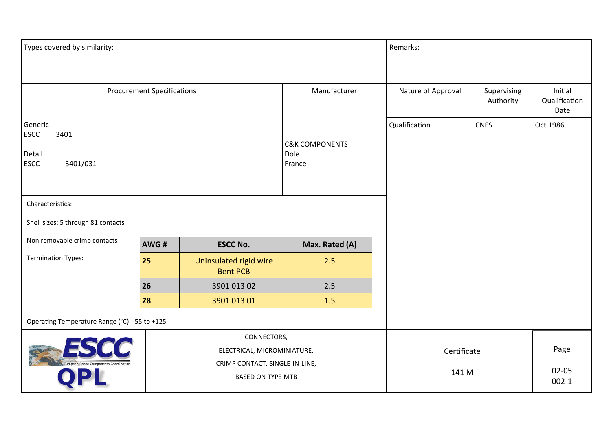| Types covered by similarity:                                                                             |                                   |                                           |                                             | Remarks:             |                          |                                  |
|----------------------------------------------------------------------------------------------------------|-----------------------------------|-------------------------------------------|---------------------------------------------|----------------------|--------------------------|----------------------------------|
|                                                                                                          |                                   |                                           |                                             |                      |                          |                                  |
|                                                                                                          | <b>Procurement Specifications</b> |                                           | Manufacturer                                | Nature of Approval   | Supervising<br>Authority | Initial<br>Qualification<br>Date |
| Generic<br><b>ESCC</b><br>3401<br>Detail<br><b>ESCC</b><br>3401/031                                      |                                   |                                           | <b>C&amp;K COMPONENTS</b><br>Dole<br>France | Qualification        | <b>CNES</b>              | Oct 1986                         |
| Characteristics:                                                                                         |                                   |                                           |                                             |                      |                          |                                  |
| Shell sizes: 5 through 81 contacts                                                                       |                                   |                                           |                                             |                      |                          |                                  |
| Non removable crimp contacts                                                                             | AWG#                              | <b>ESCC No.</b>                           | Max. Rated (A)                              |                      |                          |                                  |
| <b>Termination Types:</b>                                                                                | 25                                | Uninsulated rigid wire<br><b>Bent PCB</b> | 2.5                                         |                      |                          |                                  |
|                                                                                                          | 26                                | 3901 013 02                               | 2.5                                         |                      |                          |                                  |
|                                                                                                          | 28                                | 3901 013 01                               | 1.5                                         |                      |                          |                                  |
| Operating Temperature Range (°C): -55 to +125                                                            |                                   |                                           |                                             |                      |                          |                                  |
| CONNECTORS,<br>ELECTRICAL, MICROMINIATURE,<br>CRIMP CONTACT, SINGLE-IN-LINE,<br><b>BASED ON TYPE MTB</b> |                                   |                                           |                                             | Certificate<br>141 M |                          | Page<br>$02 - 05$<br>$002 - 1$   |